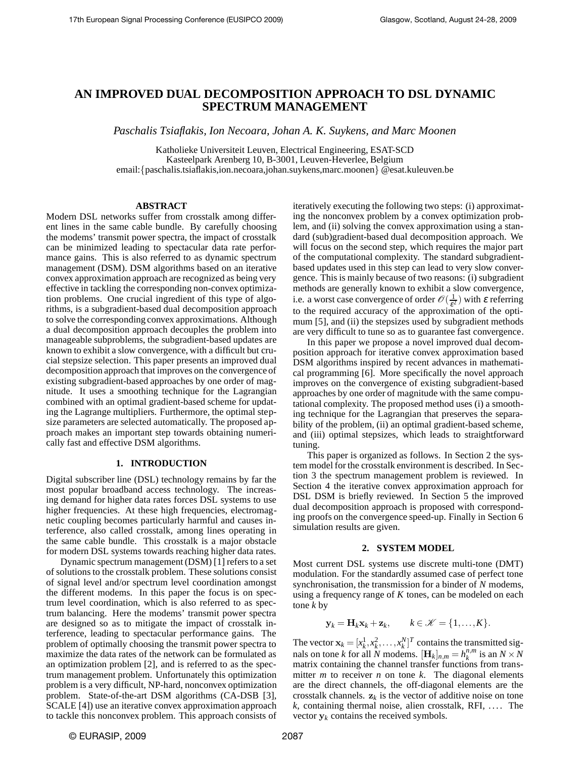# **AN IMPROVED DUAL DECOMPOSITION APPROACH TO DSL DYNAMIC SPECTRUM MANAGEMENT**

*Paschalis Tsiaflakis, Ion Necoara, Johan A. K. Suykens, and Marc Moonen*

Katholieke Universiteit Leuven, Electrical Engineering, ESAT-SCD Kasteelpark Arenberg 10, B-3001, Leuven-Heverlee, Belgium email:{paschalis.tsiaflakis,ion.necoara,johan.suykens,marc.moonen} @esat.kuleuven.be

### **ABSTRACT**

Modern DSL networks suffer from crosstalk among different lines in the same cable bundle. By carefully choosing the modems' transmit power spectra, the impact of crosstalk can be minimized leading to spectacular data rate performance gains. This is also referred to as dynamic spectrum management (DSM). DSM algorithms based on an iterative convex approximation approach are recognized as being very effective in tackling the corresponding non-convex optimization problems. One crucial ingredient of this type of algorithms, is a subgradient-based dual decomposition approach to solve the corresponding convex approximations. Although a dual decomposition approach decouples the problem into manageable subproblems, the subgradient-based updates are known to exhibit a slow convergence, with a difficult but crucial stepsize selection. This paper presents an improved dual decomposition approach that improves on the convergence of existing subgradient-based approaches by one order of magnitude. It uses a smoothing technique for the Lagrangian combined with an optimal gradient-based scheme for updating the Lagrange multipliers. Furthermore, the optimal stepsize parameters are selected automatically. The proposed approach makes an important step towards obtaining numerically fast and effective DSM algorithms.

### **1. INTRODUCTION**

Digital subscriber line (DSL) technology remains by far the most popular broadband access technology. The increasing demand for higher data rates forces DSL systems to use higher frequencies. At these high frequencies, electromagnetic coupling becomes particularly harmful and causes interference, also called crosstalk, among lines operating in the same cable bundle. This crosstalk is a major obstacle for modern DSL systems towards reaching higher data rates.

Dynamic spectrum management (DSM) [1] refers to a set of solutions to the crosstalk problem. These solutions consist of signal level and/or spectrum level coordination amongst the different modems. In this paper the focus is on spectrum level coordination, which is also referred to as spectrum balancing. Here the modems' transmit power spectra are designed so as to mitigate the impact of crosstalk interference, leading to spectacular performance gains. The problem of optimally choosing the transmit power spectra to maximize the data rates of the network can be formulated as an optimization problem [2], and is referred to as the spectrum management problem. Unfortunately this optimization problem is a very difficult, NP-hard, nonconvex optimization problem. State-of-the-art DSM algorithms (CA-DSB [3], SCALE [4]) use an iterative convex approximation approach to tackle this nonconvex problem. This approach consists of iteratively executing the following two steps: (i) approximating the nonconvex problem by a convex optimization problem, and (ii) solving the convex approximation using a standard (sub)gradient-based dual decomposition approach. We will focus on the second step, which requires the major part of the computational complexity. The standard subgradientbased updates used in this step can lead to very slow convergence. This is mainly because of two reasons: (i) subgradient methods are generally known to exhibit a slow convergence, i.e. a worst case convergence of order  $\mathscr{O}(\frac{1}{\varepsilon^2})$  with  $\varepsilon$  referring to the required accuracy of the approximation of the optimum [5], and (ii) the stepsizes used by subgradient methods are very difficult to tune so as to guarantee fast convergence.

In this paper we propose a novel improved dual decomposition approach for iterative convex approximation based DSM algorithms inspired by recent advances in mathematical programming [6]. More specifically the novel approach improves on the convergence of existing subgradient-based approaches by one order of magnitude with the same computational complexity. The proposed method uses (i) a smoothing technique for the Lagrangian that preserves the separability of the problem, (ii) an optimal gradient-based scheme, and (iii) optimal stepsizes, which leads to straightforward tuning.

This paper is organized as follows. In Section 2 the system model for the crosstalk environment is described. In Section 3 the spectrum management problem is reviewed. In Section 4 the iterative convex approximation approach for DSL DSM is briefly reviewed. In Section 5 the improved dual decomposition approach is proposed with corresponding proofs on the convergence speed-up. Finally in Section 6 simulation results are given.

#### **2. SYSTEM MODEL**

Most current DSL systems use discrete multi-tone (DMT) modulation. For the standardly assumed case of perfect tone synchronisation, the transmission for a binder of *N* modems, using a frequency range of *K* tones, can be modeled on each tone *k* by

$$
\mathbf{y}_k = \mathbf{H}_k \mathbf{x}_k + \mathbf{z}_k, \qquad k \in \mathcal{K} = \{1, \ldots, K\}.
$$

The vector  $\mathbf{x}_k = [x_k^1, x_k^2, \dots, x_k^N]^T$  contains the transmitted signals on tone *k* for all *N* modems.  $[\mathbf{H}_k]_{n,m} = h_k^{n,m}$  is an  $N \times N$ matrix containing the channel transfer functions from transmitter  $m$  to receiver  $n$  on tone  $k$ . The diagonal elements are the direct channels, the off-diagonal elements are the crosstalk channels.  $z_k$  is the vector of additive noise on tone  $k$ , containing thermal noise, alien crosstalk, RFI, .... The vector  $y_k$  contains the received symbols.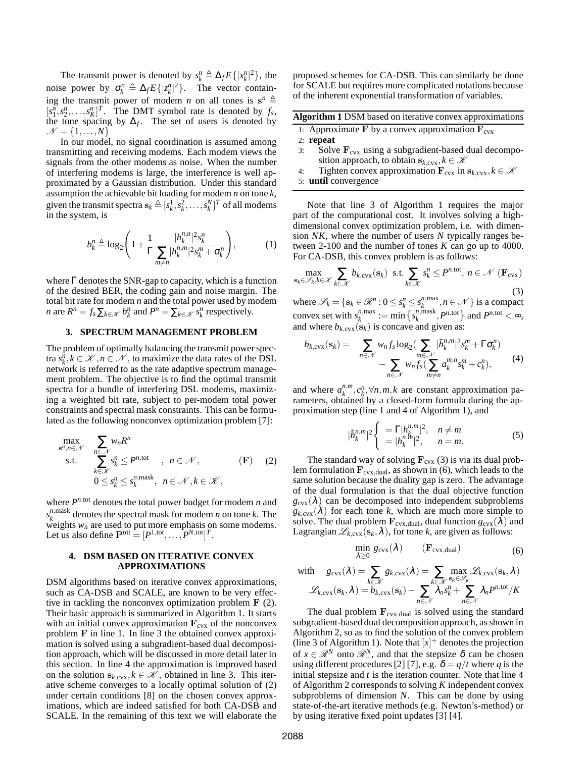The transmit power is denoted by  $s_k^n \triangleq \Delta_f E\{|x_k^n|^2\}$ , the noise power by  $\sigma_k^n \triangleq \Delta_f E\{|z_k^n|^2\}$ . The vector containing the transmit power of modem *n* on all tones is  $s^n \triangleq$  $[s_1^n, s_2^n, \ldots, s_K^n]^T$ . The DMT symbol rate is denoted by  $f_s$ , the tone spacing by  $\Delta_f$ . The set of users is denoted by  $\mathcal{N} = \{1,\ldots,N\}$ 

In our model, no signal coordination is assumed among transmitting and receiving modems. Each modem views the signals from the other modems as noise. When the number of interfering modems is large, the interference is well approximated by a Gaussian distribution. Under this standard assumption the achievable bit loading for modem *n* on tone *k*, given the transmit spectra  $\mathbf{s}_k \triangleq [s_k^1, s_k^2, \dots, s_k^N]^T$  of all modems in the system, is

$$
b_k^n \triangleq \log_2\left(1 + \frac{1}{\Gamma} \frac{|h_k^{n,n}|^2 s_k^n}{\sum_{m \neq n} |h_k^{n,m}|^2 s_k^m + \sigma_k^n}\right),\tag{1}
$$

where  $\Gamma$  denotes the SNR-gap to capacity, which is a function of the desired BER, the coding gain and noise margin. The total bit rate for modem *n* and the total power used by modem *n* are  $R^n = f_s \sum_{k \in \mathcal{K}} b_k^n$  and  $P^n = \sum_{k \in \mathcal{K}} s_k^n$  respectively.

# **3. SPECTRUM MANAGEMENT PROBLEM**

The problem of optimally balancing the transmit power spectra  $s_k^n, k \in \mathcal{K}, n \in \mathcal{N}$ , to maximize the data rates of the DSL network is referred to as the rate adaptive spectrum management problem. The objective is to find the optimal transmit spectra for a bundle of interfering DSL modems, maximizing a weighted bit rate, subject to per-modem total power constraints and spectral mask constraints. This can be formulated as the following nonconvex optimization problem [7]:

$$
\begin{array}{ll}\n\max_{\mathbf{s}^n, n \in \mathcal{N}} & \sum_{n \in \mathcal{N}} w_n R^n \\
\text{s.t.} & \sum_{k \in \mathcal{K}} s_k^n \le P^{n, \text{tot}} \\
0 \le s_k^n \le s_k^{n, \text{mask}}, \quad n \in \mathcal{N}, k \in \mathcal{K},\n\end{array} \tag{P}
$$

where  $P^{n,\text{tot}}$  denotes the total power budget for modem *n* and  $s_k^{n, \text{mask}}$  denotes the spectral mask for modem *n* on tone *k*. The weights  $w_n$  are used to put more emphasis on some modems. Let us also define  $\mathbf{P}^{\text{tot}} = [P^{1,\text{tot}}, \dots, P^{N,\text{tot}}]^T$ .

## **4. DSM BASED ON ITERATIVE CONVEX APPROXIMATIONS**

DSM algorithms based on iterative convex approximations, such as CA-DSB and SCALE, are known to be very effective in tackling the nonconvex optimization problem  $\bf{F}$  (2). Their basic approach is summarized in Algorithm 1. It starts with an initial convex approximation  $\mathbf{F}_{\text{cvx}}$  of the nonconvex problem F in line 1. In line 3 the obtained convex approximation is solved using a subgradient-based dual decomposition approach, which will be discussed in more detail later in this section. In line 4 the approximation is improved based on the solution  $s_{k,cvx}$ ,  $k \in \mathcal{K}$ , obtained in line 3. This iterative scheme converges to a locally optimal solution of (2) under certain conditions [8] on the chosen convex approximations, which are indeed satisfied for both CA-DSB and SCALE. In the remaining of this text we will elaborate the proposed schemes for CA-DSB. This can similarly be done for SCALE but requires more complicated notations because of the inherent exponential transformation of variables.

**Algorithm 1** DSM based on iterative convex approximations

- 1: Approximate  $\bf{F}$  by a convex approximation  $\bf{F}_{cvx}$
- 2: **repeat**
- 3: Solve  $\mathbf{F}_{\text{cvx}}$  using a subgradient-based dual decomposition approach, to obtain  $s_{k,cvx}$ ,  $k \in \mathcal{K}$
- 4: Tighten convex approximation  $\mathbf{F}_{\text{cvx}}$  in  $\mathbf{s}_{k,\text{cvx}}, k \in \mathcal{K}$
- 5: **until** convergence

Note that line 3 of Algorithm 1 requires the major part of the computational cost. It involves solving a highdimensional convex optimization problem, i.e. with dimension *NK*, where the number of users *N* typically ranges between 2-100 and the number of tones *K* can go up to 4000. For CA-DSB, this convex problem is as follows:

$$
\max_{\mathbf{s}_k \in \mathcal{S}_k, k \in \mathcal{K}} \sum_{k \in \mathcal{K}} b_{k,\text{cvx}}(\mathbf{s}_k) \ \text{ s.t.} \sum_{k \in \mathcal{K}} s_k^n \le P^{n,\text{tot}}, \ n \in \mathcal{N} \ (\mathbf{F}_{\text{cvx}}) \tag{3}
$$

where  $\mathscr{S}_k = \{ \mathbf{s}_k \in \mathcal{R}^n : 0 \leq s_k^n \leq s_k^{n, \max}, n \in \mathcal{N} \}$  is a compact convex set with  $s_k^{n,\max} := \min \left\{ s_k^{n,\max}, P^{n,\text{tot}} \right\}$  and  $P^{n,\text{tot}} < \infty$ , and where  $b_{k,cvx}(\mathbf{s}_k)$  is concave and given as:

$$
b_{k,cvx}(\mathbf{s}_k) = \sum_{n \in \mathcal{N}} w_n f_s \log_2(\sum_{m \in \mathcal{N}} |\tilde{h}_k^{n,m}|^2 s_k^m + \Gamma \sigma_k^n) - \sum_{n \in \mathcal{N}} w_n f_s(\sum_{m \neq n} a_k^{m,n} s_k^m + c_k^n), \tag{4}
$$

and where  $a_k^{n,m}, c_k^n, \forall n, m, k$  are constant approximation parameters, obtained by a closed-form formula during the approximation step (line 1 and 4 of Algorithm 1), and

$$
|\tilde{h}_k^{n,m}|^2 \begin{cases} \n= \Gamma |h_k^{n,m}|^2, & n \neq m \\
= |h_k^{n,m}|^2, & n = m. \n\end{cases} \n\tag{5}
$$

The standard way of solving  $\mathbf{F}_{\text{cvx}}$  (3) is via its dual problem formulation  $\mathbf{F}_{\text{cvx},\text{dual}}$ , as shown in (6), which leads to the same solution because the duality gap is zero. The advantage of the dual formulation is that the dual objective function  $g_{\text{cvx}}(\lambda)$  can be decomposed into independent subproblems  $g_{k,cvx}(\lambda)$  for each tone *k*, which are much more simple to solve. The dual problem  $\mathbf{F}_{\text{cvx},\text{dual}}$ , dual function  $g_{\text{cvx}}(\lambda)$  and Lagrangian  $\mathcal{L}_{k,cvx}(s_k,\lambda)$ , for tone *k*, are given as follows:

$$
\min_{\lambda \geq 0} g_{\text{cvx}}(\lambda) \qquad (\mathbf{F}_{\text{cvx},\text{dual}}) \tag{6}
$$

with 
$$
g_{\text{cvx}}(\lambda) = \sum_{k \in \mathcal{K}} g_{k,\text{cvx}}(\lambda) = \sum_{k \in \mathcal{K}} \max_{s_k \in \mathcal{S}_k} \mathcal{L}_{k,\text{cvx}}(\mathbf{s}_k, \lambda)
$$
  

$$
\mathcal{L}_{k,\text{cvx}}(\mathbf{s}_k, \lambda) = b_{k,\text{cvx}}(\mathbf{s}_k) - \sum_{n \in \mathcal{N}} \lambda_n s_k^n + \sum_{n \in \mathcal{N}} \lambda_n P^{n,\text{tot}} / K
$$

The dual problem  $\mathbf{F}_{\text{cvx,dual}}$  is solved using the standard subgradient-based dual decomposition approach, as shown in Algorithm 2, so as to find the solution of the convex problem (line 3 of Algorithm 1). Note that  $[x]^{+}$  denotes the projection of  $x \in \mathcal{R}^N$  onto  $\mathcal{R}^N_+$ , and that the stepsize  $\delta$  can be chosen using different procedures [2] [7], e.g.  $\delta = q/t$  where *q* is the initial stepsize and *t* is the iteration counter. Note that line 4 of Algorithm 2 corresponds to solving *K* independent convex subproblems of dimension *N*. This can be done by using state-of-the-art iterative methods (e.g. Newton's-method) or by using iterative fixed point updates [3] [4].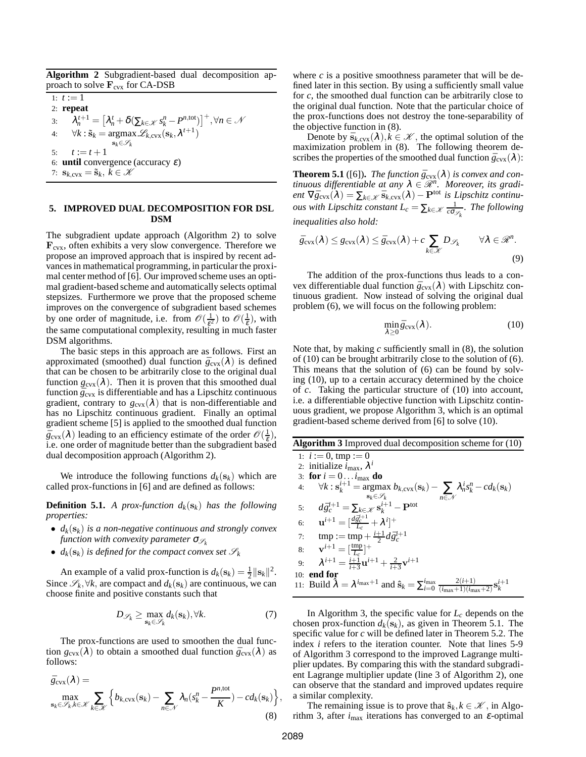**Algorithm 2** Subgradient-based dual decomposition approach to solve  $\mathbf{F}_{\text{cvx}}$  for CA-DSB

1: 
$$
t := 1
$$
  
\n2: **repeat**  
\n3:  $\lambda_n^{t+1} = [\lambda_n^t + \delta(\sum_{k \in \mathcal{K}} s_k^n - P^{n, \text{tot}})]^+, \forall n \in \mathcal{N}$   
\n4:  $\forall k : \tilde{s}_k = \operatorname*{argmax}_{s_k \in \mathcal{S}_k} \mathcal{L}_{k, \text{cvx}}(s_k, \lambda^{t+1})$   
\n5:  $t := t + 1$   
\n6: **until** convergence (accuracy  $\varepsilon$ )  
\n7:  $s_{k, \text{cvx}} = \tilde{s}_k, k \in \mathcal{K}$ 

### **5. IMPROVED DUAL DECOMPOSITION FOR DSL DSM**

The subgradient update approach (Algorithm 2) to solve  $\mathbf{F}_{\text{cvx}}$ , often exhibits a very slow convergence. Therefore we propose an improved approach that is inspired by recent advances in mathematical programming, in particular the proximal center method of [6]. Our improved scheme uses an optimal gradient-based scheme and automatically selects optimal stepsizes. Furthermore we prove that the proposed scheme improves on the convergence of subgradient based schemes by one order of magnitude, i.e. from  $\mathscr{O}(\frac{1}{\varepsilon^2})$  to  $\mathscr{O}(\frac{1}{\varepsilon})$ , with the same computational complexity, resulting in much faster DSM algorithms.

The basic steps in this approach are as follows. First an approximated (smoothed) dual function  $\bar{g}_{\text{cvx}}(\lambda)$  is defined that can be chosen to be arbitrarily close to the original dual function  $g_{\text{cvx}}(\lambda)$ . Then it is proven that this smoothed dual function  $\bar{g}_{\text{cvx}}$  is differentiable and has a Lipschitz continuous gradient, contrary to  $g_{\text{cvx}}(\lambda)$  that is non-differentiable and has no Lipschitz continuous gradient. Finally an optimal gradient scheme [5] is applied to the smoothed dual function  $\bar{g}_{\text{cvx}}(\lambda)$  leading to an efficiency estimate of the order  $\mathcal{O}(\frac{1}{\epsilon})$ , i.e. one order of magnitude better than the subgradient based dual decomposition approach (Algorithm 2).

We introduce the following functions  $d_k(s_k)$  which are called prox-functions in [6] and are defined as follows:

**Definition 5.1.** *A prox-function*  $d_k(s_k)$  *has the following properties:*

- *dk*(s*k*) *is a non-negative continuous and strongly convex function with convexity parameter*  $\sigma_{\mathcal{S}_k}$
- $d_k(s_k)$  *is defined for the compact convex set*  $\mathcal{S}_k$

An example of a valid prox-function is  $d_k(s_k) = \frac{1}{2} ||s_k||^2$ . Since  $\mathscr{S}_k$ ,  $\forall k$ , are compact and  $d_k(\mathbf{s}_k)$  are continuous, we can choose finite and positive constants such that

$$
D_{\mathscr{S}_k} \geq \max_{\mathbf{s}_k \in \mathscr{S}_k} d_k(\mathbf{s}_k), \forall k. \tag{7}
$$

The prox-functions are used to smoothen the dual function  $g_{\text{cvx}}(\lambda)$  to obtain a smoothed dual function  $\bar{g}_{\text{cvx}}(\lambda)$  as follows:

$$
\bar{g}_{\text{cvx}}(\lambda) = \max_{\mathbf{s}_k \in \mathscr{S}_k, k \in \mathscr{K}} \sum_{k \in \mathscr{K}} \left\{ b_{k,\text{cvx}}(\mathbf{s}_k) - \sum_{n \in \mathscr{N}} \lambda_n (s_k^n - \frac{P^{n,\text{tot}}}{K}) - cd_k(\mathbf{s}_k) \right\}
$$
\n(8)

where  $c$  is a positive smoothness parameter that will be defined later in this section. By using a sufficiently small value for *c*, the smoothed dual function can be arbitrarily close to the original dual function. Note that the particular choice of the prox-functions does not destroy the tone-separability of the objective function in (8).

Denote by  $\bar{\mathbf{s}}_{k,cvx}(\lambda), k \in \mathcal{K}$ , the optimal solution of the maximization problem in (8). The following theorem describes the properties of the smoothed dual function  $\bar{g}_{\text{cvx}}(\lambda)$ :

**Theorem 5.1** ([6]). *The function*  $\bar{g}_{\text{cvx}}(\lambda)$  *is convex and continuous differentiable at any*  $\lambda \in \mathbb{R}^n$ . Moreover, its gradi $ent \nabla \bar{g}_{\text{cvx}}(\lambda) = \sum_{k \in \mathcal{K}} \bar{s}_{k,\text{cvx}}(\lambda) - \mathbf{P}^{\text{tot}}$  *is Lipschitz continuous with Lipschitz constant*  $L_c = \sum_{k \in \mathcal{K}} \frac{1}{c \sigma_{\mathcal{S}_k}}$ *. The following inequalities also hold:*

$$
\bar{g}_{\text{cvx}}(\lambda) \leq g_{\text{cvx}}(\lambda) \leq \bar{g}_{\text{cvx}}(\lambda) + c \sum_{k \in \mathcal{K}} D_{\mathcal{S}_k} \qquad \forall \lambda \in \mathcal{R}^n.
$$
\n(9)

The addition of the prox-functions thus leads to a convex differentiable dual function  $\bar{g}_{\text{cvx}}(\lambda)$  with Lipschitz continuous gradient. Now instead of solving the original dual problem (6), we will focus on the following problem:

$$
\min_{\lambda \ge 0} \bar{g}_{\text{cvx}}(\lambda). \tag{10}
$$

Note that, by making  $c$  sufficiently small in  $(8)$ , the solution of (10) can be brought arbitrarily close to the solution of (6). This means that the solution of (6) can be found by solving (10), up to a certain accuracy determined by the choice of *c*. Taking the particular structure of (10) into account, i.e. a differentiable objective function with Lipschitz continuous gradient, we propose Algorithm 3, which is an optimal gradient-based scheme derived from [6] to solve (10).

| Algorithm 3 Improved dual decomposition scheme for (10) |                                                                                                                                                                                      |
|---------------------------------------------------------|--------------------------------------------------------------------------------------------------------------------------------------------------------------------------------------|
|                                                         | 1: $i := 0$ , tmp := 0                                                                                                                                                               |
|                                                         | 2: initialize $i_{\text{max}}$ , $\lambda^{i}$                                                                                                                                       |
|                                                         | 3: for $i = 0 \ldots i_{\text{max}}$ do                                                                                                                                              |
| 4:                                                      | $\forall k : \mathbf{s}_k^{i+1} = \text{argmax } b_{k,\text{cvx}}(\mathbf{s}_k) - \sum_{k} \lambda_n^i s_k^n - c d_k(\mathbf{s}_k)$                                                  |
|                                                         | $s_k \in \mathscr{S}_k$<br>$n \in \mathcal{N}$                                                                                                                                       |
|                                                         | 5: $d\bar{g}_c^{i+1} = \sum_{k \in \mathcal{K}} s_k^{i+1} - \mathbf{P}^{\text{tot}}$                                                                                                 |
|                                                         | 6: $\mathbf{u}^{i+1} = \left[\frac{d\bar{g}_c^{i+1}}{I} + \lambda^{i}\right]^{+}$                                                                                                    |
|                                                         | 7: tmp := tmp + $\frac{i+1}{2}d\bar{g}^{i+1}$                                                                                                                                        |
|                                                         | 8: $\mathbf{v}^{i+1} = [\frac{\text{tmp}}{L}]^+$                                                                                                                                     |
| 9:                                                      | $\lambda^{i+1} = \frac{i+1}{i+3} \mathbf{u}^{i+1} + \frac{2}{i+3} \mathbf{v}^{i+1}$                                                                                                  |
| 10:                                                     | end for                                                                                                                                                                              |
|                                                         | 11: Build $\hat{\lambda} = \lambda^{i_{\text{max}}+1}$ and $\hat{\mathbf{s}}_k = \sum_{i=0}^{i_{\text{max}}} \frac{2(i+1)}{(i_{\text{max}}+1)(i_{\text{max}}+2)} \mathbf{s}_k^{i+1}$ |

In Algorithm 3, the specific value for  $L_c$  depends on the chosen prox-function  $d_k(s_k)$ , as given in Theorem 5.1. The specific value for *c* will be defined later in Theorem 5.2. The index *i* refers to the iteration counter. Note that lines 5-9 of Algorithm 3 correspond to the improved Lagrange multiplier updates. By comparing this with the standard subgradient Lagrange multiplier update (line 3 of Algorithm 2), one can observe that the standard and improved updates require a similar complexity.

The remaining issue is to prove that  $\hat{\mathbf{s}}_k, k \in \mathcal{K}$ , in Algorithm 3, after  $i_{\text{max}}$  iterations has converged to an  $\varepsilon$ -optimal

,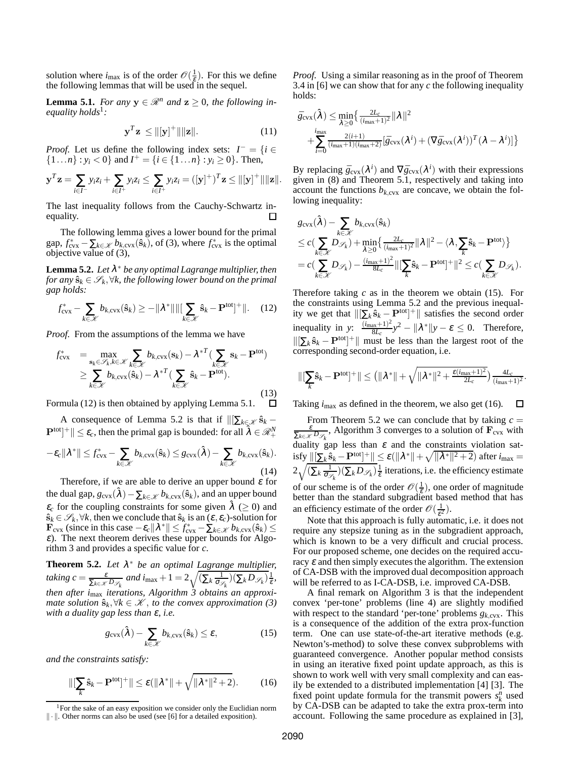solution where  $i_{\text{max}}$  is of the order  $\mathcal{O}(\frac{1}{\varepsilon})$ . For this we define the following lemmas that will be used in the sequel.

**Lemma 5.1.** *For any*  $y \in \mathcal{R}^n$  *and*  $z \ge 0$ *, the following inequality holds*<sup>1</sup> *:*

$$
\mathbf{y}^T \mathbf{z} \le ||[\mathbf{y}]^+|| ||\mathbf{z}||. \tag{11}
$$

*Proof.* Let us define the following index sets:  $I^- = \{i \in I\}$  $\{1...n\}$ :  $y_i < 0$ } and  $I^+ = \{i \in \{1...n\}$ :  $y_i \ge 0\}$ . Then,

$$
\mathbf{y}^T \mathbf{z} = \sum_{i \in I^-} y_i z_i + \sum_{i \in I^+} y_i z_i \le \sum_{i \in I^+} y_i z_i = ([\mathbf{y}]^+)^T \mathbf{z} \le ||[\mathbf{y}]^+|| ||\mathbf{z}||.
$$

The last inequality follows from the Cauchy-Schwartz inequality.

The following lemma gives a lower bound for the primal gap,  $f_{\text{cvx}}^* - \sum_{k \in \mathcal{K}} b_{k,\text{cvx}}(\hat{\mathbf{s}}_k)$ , of (3), where  $f_{\text{cvx}}^*$  is the optimal objective value of (3),

**Lemma 5.2.** *Let* λ <sup>∗</sup> *be any optimal Lagrange multiplier, then*  $f$ or any  $\hat{\mathbf{s}}_k \in \mathscr{S}_k$ , $\forall$ k, the following lower bound on the primal *gap holds:*

$$
f_{\text{cvx}}^* - \sum_{k \in \mathcal{K}} b_{k,\text{cvx}}(\hat{\mathbf{s}}_k) \ge -\|\lambda^*\| \|\sum_{k \in \mathcal{K}} \hat{\mathbf{s}}_k - \mathbf{P}^{\text{tot}}\|^+\|.\tag{12}
$$

*Proof.* From the assumptions of the lemma we have

$$
f_{\text{cvx}}^* = \max_{\mathbf{s}_k \in \mathcal{S}_k, k \in \mathcal{K}} \sum_{k \in \mathcal{K}} b_{k, \text{cvx}}(\mathbf{s}_k) - \lambda^{*T} (\sum_{k \in \mathcal{K}} \mathbf{s}_k - \mathbf{P}^{\text{tot}})
$$
  
\n
$$
\geq \sum_{k \in \mathcal{K}} b_{k, \text{cvx}}(\hat{\mathbf{s}}_k) - \lambda^{*T} (\sum_{k \in \mathcal{K}} \hat{\mathbf{s}}_k - \mathbf{P}^{\text{tot}}).
$$
\n(13)

Formula (12) is then obtained by applying Lemma 5.1.  $\Box$ 

A consequence of Lemma 5.2 is that if  $\|\sum_{k\in\mathcal{K}}\hat{\mathbf{s}}_k \mathbf{P}^{\text{tot}}$ ]<sup>+</sup>  $\|\leq \varepsilon_c$ , then the primal gap is bounded: for all  $\hat{\lambda} \in \mathscr{R}^N_+$ 

$$
-\varepsilon_{c} \|\lambda^*\| \leq f_{\text{cvx}}^* - \sum_{k \in \mathcal{K}} b_{k,\text{cvx}}(\hat{\mathbf{s}}_k) \leq g_{\text{cvx}}(\hat{\lambda}) - \sum_{k \in \mathcal{K}} b_{k,\text{cvx}}(\hat{\mathbf{s}}_k).
$$
\n(14)

Therefore, if we are able to derive an upper bound  $\varepsilon$  for the dual gap,  $g_{\text{cvx}}(\hat{\lambda}) - \sum_{k \in \mathcal{K}} b_{k,\text{cvx}}(\hat{s}_k)$ , and an upper bound  $\varepsilon_c$  for the coupling constraints for some given  $\lambda \geq 0$ ) and  $\hat{\mathbf{s}}_k \in \mathscr{S}_k, \forall k$ , then we conclude that  $\hat{\mathbf{s}}_k$  is an  $(\varepsilon, \varepsilon_c)$ -solution for  $\mathbf{F}_{\text{cvx}}$  (since in this case  $-\varepsilon_c ||\lambda^*|| \le f_{\text{cvx}}^* - \sum_{k \in \mathcal{K}} b_{k,\text{cvx}}(\hat{\mathbf{s}}_k) \le$  $\varepsilon$ ). The next theorem derives these upper bounds for Algorithm 3 and provides a specific value for *c*.

**Theorem 5.2.** *Let* λ <sup>∗</sup> *be an optimal Lagrange multiplier, taking c* =  $\frac{\varepsilon}{\sum_{k \in \mathcal{K}} D_{\mathcal{S}_k}}$  *and i*<sub>max</sub> + 1 = 2 $\sqrt{(\sum_{k} \frac{1}{\sigma_{\mathcal{S}}})}$  $\frac{1}{\sigma_{\mathscr{S}_k}}\big)\left(\sum_k D_{\mathscr{S}_k}\right)\frac{1}{\varepsilon},$ *then after i*max *iterations, Algorithm 3 obtains an approximate solution*  $\hat{\mathbf{s}}_k$ ,  $\forall k \in \mathcal{K}$ , *to the convex approximation* (3) *with a duality gap less than* <sup>ε</sup>*, i.e.*

$$
g_{\text{cvx}}(\hat{\lambda}) - \sum_{k \in \mathcal{K}} b_{k,\text{cvx}}(\hat{\mathbf{s}}_k) \le \varepsilon, \tag{15}
$$

*and the constraints satisfy:*

$$
\|\left[\sum_{k}\hat{\mathbf{s}}_{k}-\mathbf{P}^{\text{tot}}\right]^{+}\|\leq \varepsilon(\|\lambda^*\|+\sqrt{\|\lambda^*\|^2+2}).\tag{16}
$$

*Proof.* Using a similar reasoning as in the proof of Theorem 3.4 in [6] we can show that for any *c* the following inequality holds:

$$
\bar{g}_{\text{cvx}}(\hat{\lambda}) \le \min_{\lambda \ge 0} \{ \frac{2L_c}{(i_{\text{max}}+1)^2} ||\lambda||^2 \n+ \sum_{i=0}^{i_{\text{max}}} \frac{2(i+1)}{(i_{\text{max}}+1)(i_{\text{max}}+2)} [\bar{g}_{\text{cvx}}(\lambda^i) + (\nabla \bar{g}_{\text{cvx}}(\lambda^i))^T (\lambda - \lambda^i)] \}
$$

By replacing  $\bar{g}_{\text{cvx}}(\lambda^i)$  and  $\nabla \bar{g}_{\text{cvx}}(\lambda^i)$  with their expressions given in (8) and Theorem 5.1, respectively and taking into account the functions  $b_{k,cvx}$  are concave, we obtain the following inequality:

$$
\begin{aligned} &g_{\text{cvx}}(\hat{\lambda}) - \sum_{k \in \mathscr{K}} b_{k,\text{cvx}}(\hat{\mathbf{s}}_k) \\ &\leq c\big(\sum_{k \in \mathscr{K}} D_{\mathscr{S}_k}\big) + \min_{\lambda \geq 0} \bigl\{ \tfrac{2L_c}{(i_{\text{max}}+1)^2} \|\lambda\|^2 - \langle \lambda, \sum_k \hat{\mathbf{s}}_k - \mathbf{P}^{\text{tot}} \rangle \bigr\} \\ &= c\big(\sum_{k \in \mathscr{K}} D_{\mathscr{S}_k}\big) - \tfrac{(i_{\text{max}}+1)^2}{8L_c} \big\| \big[\sum_k \hat{\mathbf{s}}_k - \mathbf{P}^{\text{tot}} \big]^+ \big\|^2 \leq c\big(\sum_{k \in \mathscr{K}} D_{\mathscr{S}_k}\big). \end{aligned}
$$

Therefore taking *c* as in the theorem we obtain (15). For the constraints using Lemma 5.2 and the previous inequality we get that  $\left\| \left[ \sum_{k} \hat{\mathbf{s}}_{k} - \mathbf{P}^{\text{tot}} \right]^{+} \right\|$  satisfies the second order inequality in *y*:  $\frac{(i_{\text{max}}+1)^2}{8l}$  $\frac{f(x+1)^2}{8L_c}y^2 - ||\lambda^*||y - \varepsilon \leq 0$ . Therefore,  $\left\| \left[ \sum_{k} \hat{\mathbf{s}}_{k} - \mathbf{P}^{\text{tot}} \right]^{+} \right\|$  must be less than the largest root of the corresponding second-order equation, i.e.

$$
\|[\sum_{k}\hat{\mathbf{s}}_{k}-\mathbf{P}^{\text{tot}}]^+\|\leq (\|\lambda^*\|+\sqrt{\|\lambda^*\|^2+\frac{\varepsilon(i_{\text{max}}+1)^2}{2L_{c}}})\frac{4L_{c}}{(i_{\text{max}}+1)^2}.
$$

Taking  $i_{\text{max}}$  as defined in the theorem, we also get (16).  $\Box$ 

From Theorem 5.2 we can conclude that by taking  $c =$  $\frac{\varepsilon}{\sum_{k \in \mathcal{K}} D_{\mathcal{S}_k}}$ , Algorithm 3 converges to a solution of  $\mathbf{F}_{\text{cvx}}$  with duality gap less than  $\varepsilon$  and the constraints violation satisfy  $\|[\Sigma_k \hat{\mathbf{s}}_k - \mathbf{P}^{\text{tot}}]^+ \| \leq \varepsilon (\|\lambda^*\| + \sqrt{\|\lambda^*\|^2 + 2})$  after  $i_{\max} =$  $2\sqrt{(\sum_k \frac{1}{\sigma_s})}$  $\frac{1}{\sigma_{\mathscr{S}_k}}$ ) $(\sum_k D_{\mathscr{S}_k}) \frac{1}{\varepsilon}$  iterations, i.e. the efficiency estimate of our scheme is of the order  $\mathcal{O}(\frac{1}{\varepsilon})$ , one order of magnitude better than the standard subgradient based method that has an efficiency estimate of the order  $\mathcal{O}(\frac{1}{\epsilon^2})$ .

Note that this approach is fully automatic, i.e. it does not require any stepsize tuning as in the subgradient approach, which is known to be a very difficult and crucial process. For our proposed scheme, one decides on the required accuracy  $\varepsilon$  and then simply executes the algorithm. The extension of CA-DSB with the improved dual decomposition approach will be referred to as I-CA-DSB, i.e. improved CA-DSB.

A final remark on Algorithm 3 is that the independent convex 'per-tone' problems (line 4) are slightly modified with respect to the standard 'per-tone' problems  $g_{k,cvx}$ . This is a consequence of the addition of the extra prox-function term. One can use state-of-the-art iterative methods (e.g. Newton's-method) to solve these convex subproblems with guaranteed convergence. Another popular method consists in using an iterative fixed point update approach, as this is shown to work well with very small complexity and can easily be extended to a distributed implementation [4] [3]. The fixed point update formula for the transmit powers  $s_k^n$  used by CA-DSB can be adapted to take the extra prox-term into account. Following the same procedure as explained in [3],

<sup>&</sup>lt;sup>1</sup>For the sake of an easy exposition we consider only the Euclidian norm  $\|\cdot\|$ . Other norms can also be used (see [6] for a detailed exposition).